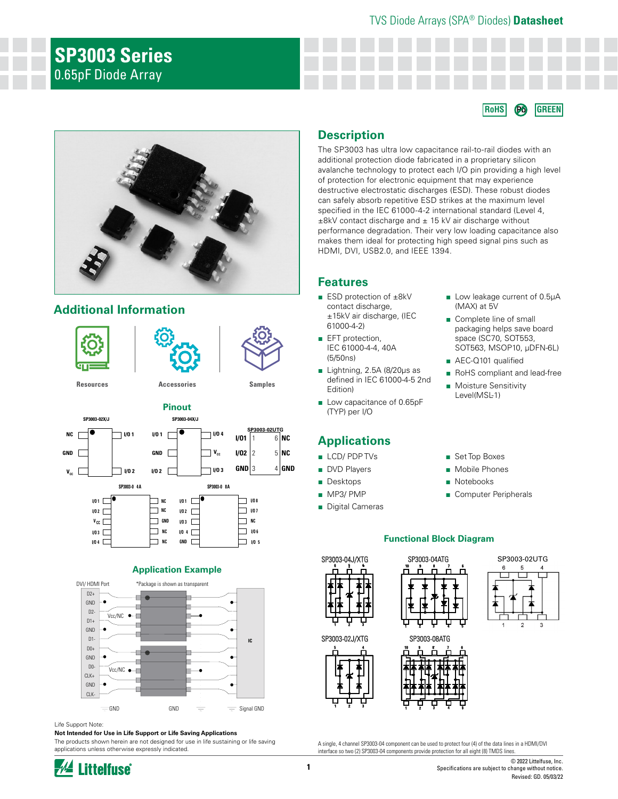# **SP3003 Series** 0.65pF Diode Array

#### **RoHS Pb GREEN**



## **Additional Information**





#### **Application Example**



#### Life Support Note:

#### **Not Intended for Use in Life Support or Life Saving Applications**

The products shown herein are not designed for use in life sustaining or life saving applications unless otherwise expressly indicated.

#### **Description**

The SP3003 has ultra low capacitance rail-to-rail diodes with an additional protection diode fabricated in a proprietary silicon avalanche technology to protect each I/O pin providing a high level of protection for electronic equipment that may experience destructive electrostatic discharges (ESD). These robust diodes can safely absorb repetitive ESD strikes at the maximum level specified in the IEC 61000-4-2 international standard (Level 4,  $±8kV$  contact discharge and  $± 15 kV$  air discharge without performance degradation. Their very low loading capacitance also makes them ideal for protecting high speed signal pins such as HDMI, DVI, USB2.0, and IEEE 1394.

#### **Features**

- ESD protection of ±8kV contact discharge, ±15kV air discharge, (IEC 61000-4-2)
- EFT protection, IEC 61000-4-4, 40A (5/50ns)
- Lightning, 2.5A (8/20μs as defined in IEC 61000-4-5 2nd Edition)
- Low capacitance of 0.65pF (TYP) per I/O

#### **Applications**

- LCD/ PDP TVs
- DVD Players
- Desktops
- MP3/ PMP
- Digital Cameras
- Low leakage current of 0.5µA (MAX) at 5V
- Complete line of small packaging helps save board space (SC70, SOT553, SOT563, MSOP10, µDFN-6L)
- AEC-Q101 qualified
- RoHS compliant and lead-free
- Moisture Sensitivity Level(MSL-1)
- Set Top Boxes
- Mobile Phones
- Notebooks
- Computer Peripherals

#### **Functional Block Diagram**











A single, 4 channel SP3003-04 component can be used to protect four (4) of the data lines in a HDMI/DVI interface so two (2) SP3003-04 components provide protection for all eight (8) TMDS lines.



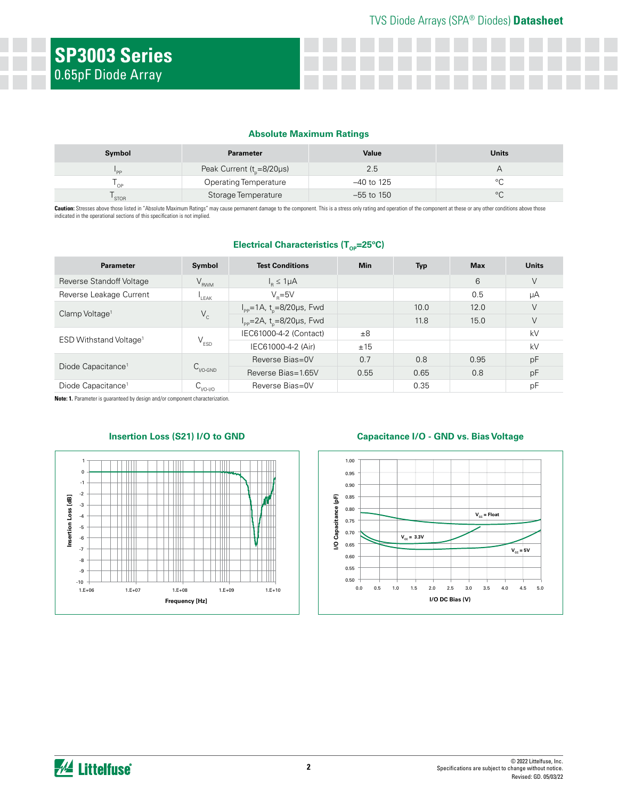#### **Absolute Maximum Ratings**

| Symbol      | <b>Parameter</b>                       | Value        | <b>Units</b> |
|-------------|----------------------------------------|--------------|--------------|
| "PP         | Peak Current ( $t_{\text{e}}$ =8/20µs) | 2.5          |              |
| OP          | <b>Operating Temperature</b>           | $-40$ to 125 |              |
| <b>STOR</b> | Storage Temperature                    | $-55$ to 150 |              |

Caution: Stresses above those listed in "Absolute Maximum Ratings" may cause permanent damage to the component. This is a stress only rating and operation of the component at these or any other conditions above those indicated in the operational sections of this specification is not implied.

| Parameter                          | Symbol                      | <b>Test Conditions</b>                                        | <b>Min</b> | <b>Typ</b> | <b>Max</b> | <b>Units</b> |
|------------------------------------|-----------------------------|---------------------------------------------------------------|------------|------------|------------|--------------|
| Reverse Standoff Voltage           | $V_{RWM}$                   | $I_p \leq 1 \mu A$                                            |            |            | 6          | V            |
| Reverse Leakage Current            | LEAK                        | $V_e = 5V$                                                    |            |            | 0.5        | μA           |
| Clamp Voltage <sup>1</sup>         | $V_c$                       | $I_{\text{pp}} = 1 \text{A}, t_{\text{p}} = 8/20 \mu s$ , Fwd |            | 10.0       | 12.0       | V            |
|                                    |                             | $I_{\text{pp}} = 2A$ , t <sub>n</sub> =8/20µs, Fwd            |            | 11.8       | 15.0       | V            |
| ESD Withstand Voltage <sup>1</sup> | $\mathsf{V}_{\texttt{ESD}}$ | IEC61000-4-2 (Contact)                                        | ±8         |            |            | kV           |
|                                    |                             | IEC61000-4-2 (Air)                                            | ±15        |            |            | kV           |
| Diode Capacitance <sup>1</sup>     | $C_{V0\text{-GND}}$         | Reverse Bias=0V                                               | 0.7        | 0.8        | 0.95       | pF           |
|                                    |                             | Reverse Bias=1.65V                                            | 0.55       | 0.65       | 0.8        | pF           |
| Diode Capacitance <sup>1</sup>     | $C_{VO-VO}$                 | Reverse Bias=0V                                               |            | 0.35       |            | pF           |

**Electrical Characteristics (T<sub>op</sub>=25°C)** 

**Note: 1.** Parameter is guaranteed by design and/or component characterization.



#### **Insertion Loss (S21) I/O to GND Capacitance I/O - GND vs. Bias Voltage**

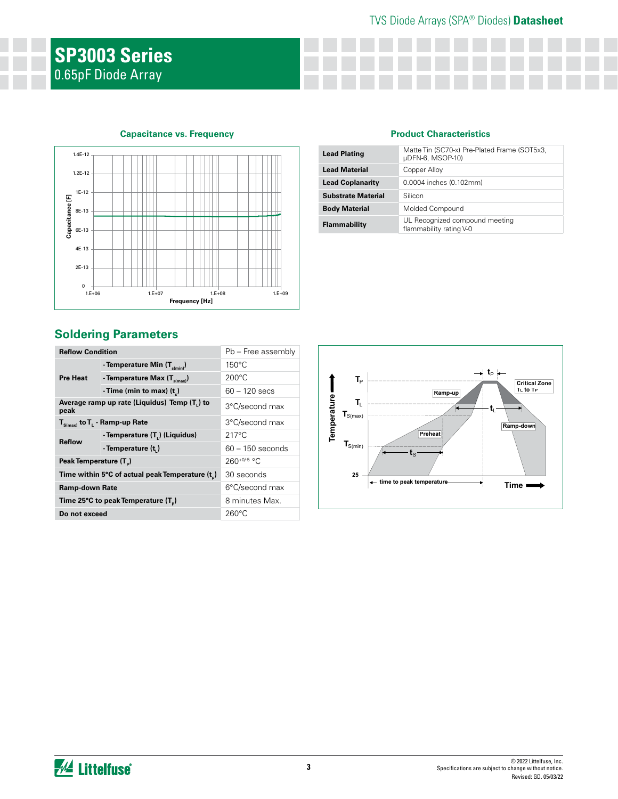# **SP3003 Series** 0.65pF Diode Array

#### **Capacitance vs. Frequency**



## **Soldering Parameters**

| <b>Reflow Condition</b>            |                                                 | Pb - Free assembly |
|------------------------------------|-------------------------------------------------|--------------------|
|                                    | - Temperature Min $(T_{s(min)})$                | $150^{\circ}$ C    |
| <b>Pre Heat</b>                    | - Temperature Max $(T_{\text{sum}})$            | $200^{\circ}$ C    |
|                                    | - Time (min to max) $(t_2)$                     | $60 - 120$ secs    |
| peak                               | Average ramp up rate (Liquidus) Temp (T,) to    | 3°C/second max     |
|                                    | $T_{S(max)}$ to $T_{L}$ - Ramp-up Rate          | 3°C/second max     |
|                                    | - Temperature (T <sub>1</sub> ) (Liquidus)      | $217^{\circ}$ C    |
| <b>Reflow</b>                      | - Temperature (t,)                              | $60 - 150$ seconds |
| Peak Temperature (T <sub>a</sub> ) |                                                 | $260^{+0/5}$ °C    |
|                                    | Time within 5°C of actual peak Temperature (t)  | 30 seconds         |
| <b>Ramp-down Rate</b>              |                                                 | 6°C/second max     |
|                                    | Time 25°C to peak Temperature (T <sub>a</sub> ) | 8 minutes Max.     |
| Do not exceed                      |                                                 | $260^{\circ}$ C    |

#### **Product Characteristics**

| <b>Lead Plating</b>       | Matte Tin (SC70-x) Pre-Plated Frame (SOT5x3,<br>µDFN-6, MSOP-10) |
|---------------------------|------------------------------------------------------------------|
| <b>Lead Material</b>      | Copper Alloy                                                     |
| <b>Lead Coplanarity</b>   | 0.0004 inches (0.102mm)                                          |
| <b>Substrate Material</b> | Silicon                                                          |
| <b>Body Material</b>      | Molded Compound                                                  |
| Flammability              | UL Recognized compound meeting<br>flammability rating V-0        |

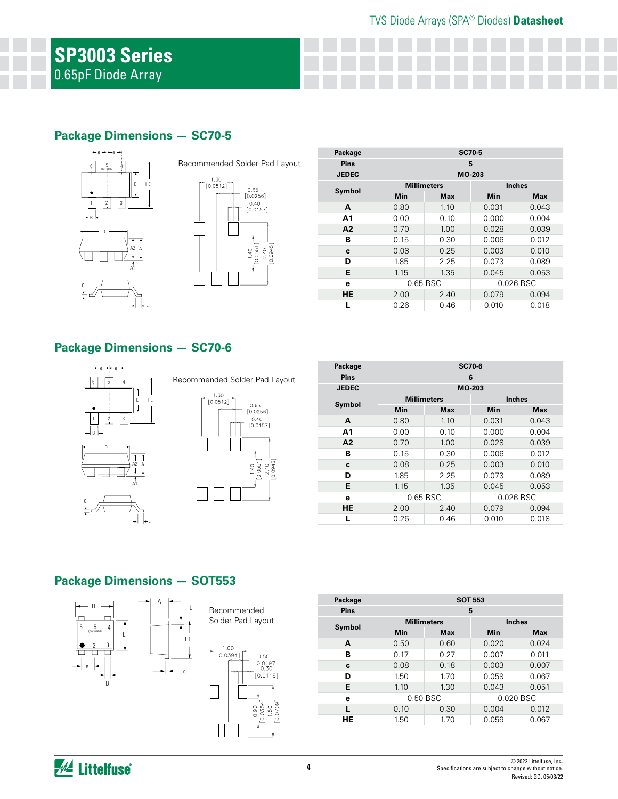## **Package Dimensions — SC70-5**



Recommended Solder Pad Layout



| Package      | <b>SC70-5</b>      |            |            |               |  |
|--------------|--------------------|------------|------------|---------------|--|
| <b>Pins</b>  | 5                  |            |            |               |  |
| <b>JEDEC</b> |                    | MO-203     |            |               |  |
|              | <b>Millimeters</b> |            |            | <b>Inches</b> |  |
| Symbol       | <b>Min</b>         | <b>Max</b> | <b>Min</b> | <b>Max</b>    |  |
| A            | 0.80               | 1.10       | 0.031      | 0.043         |  |
| Α1           | 0.00               | 0.10       | 0.000      | 0.004         |  |
| A2           | 0.70               | 1.00       | 0.028      | 0.039         |  |
| в            | 0.15               | 0.30       | 0.006      | 0.012         |  |
| c            | 0.08               | 0.25       | 0.003      | 0.010         |  |
| D            | 1.85               | 2.25       | 0.073      | 0.089         |  |
| Е            | 1.15               | 1.35       | 0.045      | 0.053         |  |
| е            | 0.65 BSC           |            |            | 0.026 BSC     |  |
| <b>HE</b>    | 2.00               | 2.40       | 0.079      | 0.094         |  |
|              | 0.26               | 0.46       | 0.010      | 0.018         |  |

## **Package Dimensions — SC70-6**

A2 A A1







 $0.09$ 

| Package      |          | <b>SC70-6</b>      |               |            |  |
|--------------|----------|--------------------|---------------|------------|--|
| <b>Pins</b>  |          |                    | 6             |            |  |
| <b>JEDEC</b> |          |                    | MO-203        |            |  |
|              |          | <b>Millimeters</b> | <b>Inches</b> |            |  |
| Symbol       | Min      | <b>Max</b>         | Min           | <b>Max</b> |  |
| A            | 0.80     | 1.10               | 0.031         | 0.043      |  |
| A1           | 0.00     | 0.10               | 0.000         | 0.004      |  |
| A2           | 0.70     | 1.00               | 0.028         | 0.039      |  |
| в            | 0.15     | 0.30               | 0.006         | 0.012      |  |
| C            | 0.08     | 0.25               | 0.003         | 0.010      |  |
| D            | 1.85     | 2.25               | 0.073         | 0.089      |  |
| Е            | 1.15     | 1.35               | 0.045         | 0.053      |  |
| e            | 0.65 BSC |                    | 0.026 BSC     |            |  |
| <b>HE</b>    | 2.00     | 2.40               | 0.079         | 0.094      |  |
|              | 0.26     | 0.46               | 0.010         | 0.018      |  |

## **Package Dimensions — SOT553**

L



| Package | <b>SOT 553</b>     |            |       |               |
|---------|--------------------|------------|-------|---------------|
| Pins    |                    | 5          |       |               |
| Symbol  | <b>Millimeters</b> |            |       | <b>Inches</b> |
|         | Min                | <b>Max</b> | Min   | <b>Max</b>    |
| A       | 0.50               | 0.60       | 0.020 | 0.024         |
| в       | 0.17               | 0.27       | 0.007 | 0.011         |
| C       | 0.08               | 0.18       | 0.003 | 0.007         |
| D       | 1.50               | 1.70       | 0.059 | 0.067         |
| Е       | 1.10               | 1.30       | 0.043 | 0.051         |
| е       | 0.50 BSC           |            |       | 0.020 BSC     |
|         | 0.10               | 0.30       | 0.004 | 0.012         |
| HE      | 1.50               | 1.70       | 0.059 | 0.067         |

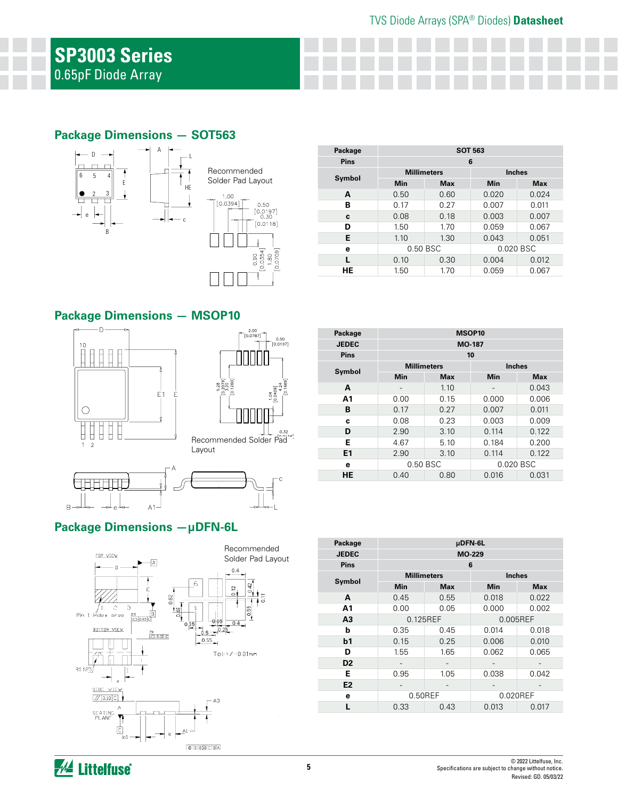## **Package Dimensions — SOT563**





| Package     | <b>SOT 563</b>     |            |               |            |
|-------------|--------------------|------------|---------------|------------|
| <b>Pins</b> |                    |            | 6             |            |
|             | <b>Millimeters</b> |            | <b>Inches</b> |            |
| Symbol      | Min                | <b>Max</b> | Min           | <b>Max</b> |
| A           | 0.50               | 0.60       | 0.020         | 0.024      |
| в           | 0.17               | 0.27       | 0.007         | 0.011      |
| c           | 0.08               | 0.18       | 0.003         | 0.007      |
| D           | 1.50               | 1.70       | 0.059         | 0.067      |
| Е           | 1.10               | 1.30       | 0.043         | 0.051      |
| е           |                    | 0.50 BSC   | 0.020 BSC     |            |
| L           | 0.10               | 0.30       | 0.004         | 0.012      |
| HЕ          | 1.50               | 1.70       | 0.059         | 0.067      |

## **Package Dimensions — MSOP10**







#### **Package Dimensions —µDFN-6L**



| Package        | MSOP <sub>10</sub>    |                    |               |               |
|----------------|-----------------------|--------------------|---------------|---------------|
| <b>JEDEC</b>   |                       |                    | <b>MO-187</b> |               |
| <b>Pins</b>    |                       |                    | 10            |               |
| Symbol         |                       | <b>Millimeters</b> |               | <b>Inches</b> |
|                | <b>Min</b>            | <b>Max</b>         | <b>Min</b>    | <b>Max</b>    |
| A              |                       | 1.10               |               | 0.043         |
| Α1             | 0.00                  | 0.15               | 0.000         | 0.006         |
| В              | 0.17                  | 0.27               | 0.007         | 0.011         |
| c              | 0.08                  | 0.23               | 0.003         | 0.009         |
| D              | 2.90                  | 3.10               | 0.114         | 0.122         |
| Е              | 4.67                  | 5.10               | 0.184         | 0.200         |
| E <sub>1</sub> | 2.90                  | 3.10               | 0.114         | 0.122         |
| е              | 0.50 BSC<br>0.020 BSC |                    |               |               |
| HE             | 0.40                  | 0.80               | 0.016         | 0.031         |

| Package        | µDFN-6L    |                    |          |               |  |  |
|----------------|------------|--------------------|----------|---------------|--|--|
| <b>JEDEC</b>   |            | MO-229             |          |               |  |  |
| <b>Pins</b>    |            |                    | 6        |               |  |  |
|                |            | <b>Millimeters</b> |          | <b>Inches</b> |  |  |
| Symbol         | <b>Min</b> | <b>Max</b>         | Min      | <b>Max</b>    |  |  |
| A              | 0.45       | 0.55               | 0.018    | 0.022         |  |  |
| A1             | 0.00       | 0.05               | 0.000    | 0.002         |  |  |
| A <sub>3</sub> |            | 0.125REF           | 0.005REF |               |  |  |
| b              | 0.35       | 0.45               | 0.014    | 0.018         |  |  |
| b <sub>1</sub> | 0.15       | 0.25               | 0.006    | 0.010         |  |  |
| D              | 1.55       | 1.65               | 0.062    | 0.065         |  |  |
| D <sub>2</sub> |            |                    |          |               |  |  |
| Е              | 0.95       | 1.05               | 0.038    | 0.042         |  |  |
| E2             |            |                    |          |               |  |  |
| е              |            | 0.50REF            | 0.020REF |               |  |  |
|                | 0.33       | 0.43               | 0.013    | 0.017         |  |  |

**A Littelfuse**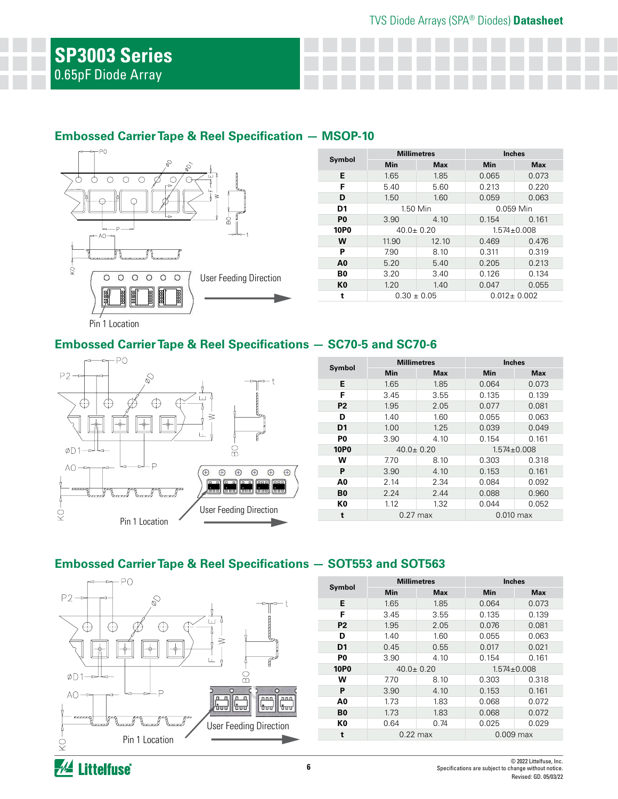## **Embossed Carrier Tape & Reel Specification — MSOP-10**



| Symbol         | <b>Millimetres</b> |            | <b>Inches</b>     |            |  |
|----------------|--------------------|------------|-------------------|------------|--|
|                | Min                | <b>Max</b> | Min               | <b>Max</b> |  |
| Е              | 1.65               | 1.85       | 0.065             | 0.073      |  |
| F              | 5.40               | 5.60       | 0.213             | 0.220      |  |
| D              | 1.50               | 1.60       | 0.059             | 0.063      |  |
| D <sub>1</sub> | 1.50 Min           |            | 0.059 Min         |            |  |
| P <sub>0</sub> | 3.90               | 4.10       | 0.154             | 0.161      |  |
| <b>10P0</b>    | $40.0 \pm 0.20$    |            | $1.574 \pm 0.008$ |            |  |
| w              | 11.90              | 12.10      | 0.469             | 0.476      |  |
| P              | 7.90               | 8.10       | 0.311             | 0.319      |  |
| A0             | 5.20               | 5.40       | 0.205             | 0.213      |  |
| B0             | 3.20               | 3.40       | 0.126             | 0.134      |  |
| K <sub>0</sub> | 1.20               | 1.40       | 0.047             | 0.055      |  |
| t              | $0.30 \pm 0.05$    |            | $0.012 \pm 0.002$ |            |  |

Pin 1 Location

## **Embossed Carrier Tape & Reel Specifications — SC70-5 and SC70-6**



|                | <b>Millimetres</b> |            | <b>Inches</b>     |            |  |
|----------------|--------------------|------------|-------------------|------------|--|
| Symbol         | Min                | <b>Max</b> | Min               | <b>Max</b> |  |
| Е              | 1.65               | 1.85       | 0.064             | 0.073      |  |
| F              | 3.45               | 3.55       | 0.135             | 0.139      |  |
| P <sub>2</sub> | 1.95               | 2.05       | 0.077             | 0.081      |  |
| D              | 1.40               | 1.60       | 0.055             | 0.063      |  |
| D <sub>1</sub> | 1.00               | 1.25       | 0.039             | 0.049      |  |
| P0             | 3.90               | 4.10       | 0.154             | 0.161      |  |
| <b>10P0</b>    | $40.0 \pm 0.20$    |            | $1.574 \pm 0.008$ |            |  |
| w              | 7.70               | 8.10       | 0.303             | 0.318      |  |
| P              | 3.90               | 4.10       | 0.153             | 0.161      |  |
| A0             | 2.14               | 2.34       | 0.084             | 0.092      |  |
| B <sub>0</sub> | 2.24               | 2.44       | 0.088             | 0.960      |  |
| K0             | 1.12               | 1.32       | 0.044             | 0.052      |  |
| t              | $0.27$ max         |            | $0.010$ max       |            |  |

## **Embossed Carrier Tape & Reel Specifications — SOT553 and SOT563**



| Symbol         | <b>Millimetres</b> |            | <b>Inches</b>     |            |
|----------------|--------------------|------------|-------------------|------------|
|                | Min                | <b>Max</b> | Min               | <b>Max</b> |
| E              | 1.65               | 1.85       | 0.064             | 0.073      |
| F              | 3.45               | 3.55       | 0.135             | 0.139      |
| P <sub>2</sub> | 1.95               | 2.05       | 0.076             | 0.081      |
| D              | 1.40               | 1.60       | 0.055             | 0.063      |
| D <sub>1</sub> | 0.45               | 0.55       | 0.017             | 0.021      |
| P <sub>0</sub> | 3.90               | 4.10       | 0.154             | 0.161      |
| <b>10P0</b>    | $40.0 \pm 0.20$    |            | $1.574 \pm 0.008$ |            |
| w              | 7.70               | 8.10       | 0.303             | 0.318      |
| P              | 3.90               | 4.10       | 0.153             | 0.161      |
| A0             | 1.73               | 1.83       | 0.068             | 0.072      |
| B0             | 1.73               | 1.83       | 0.068             | 0.072      |
| K0             | 0.64               | 0.74       | 0.025             | 0.029      |
| t              | $0.22 \text{ max}$ |            | $0.009$ max       |            |
|                |                    |            |                   |            |